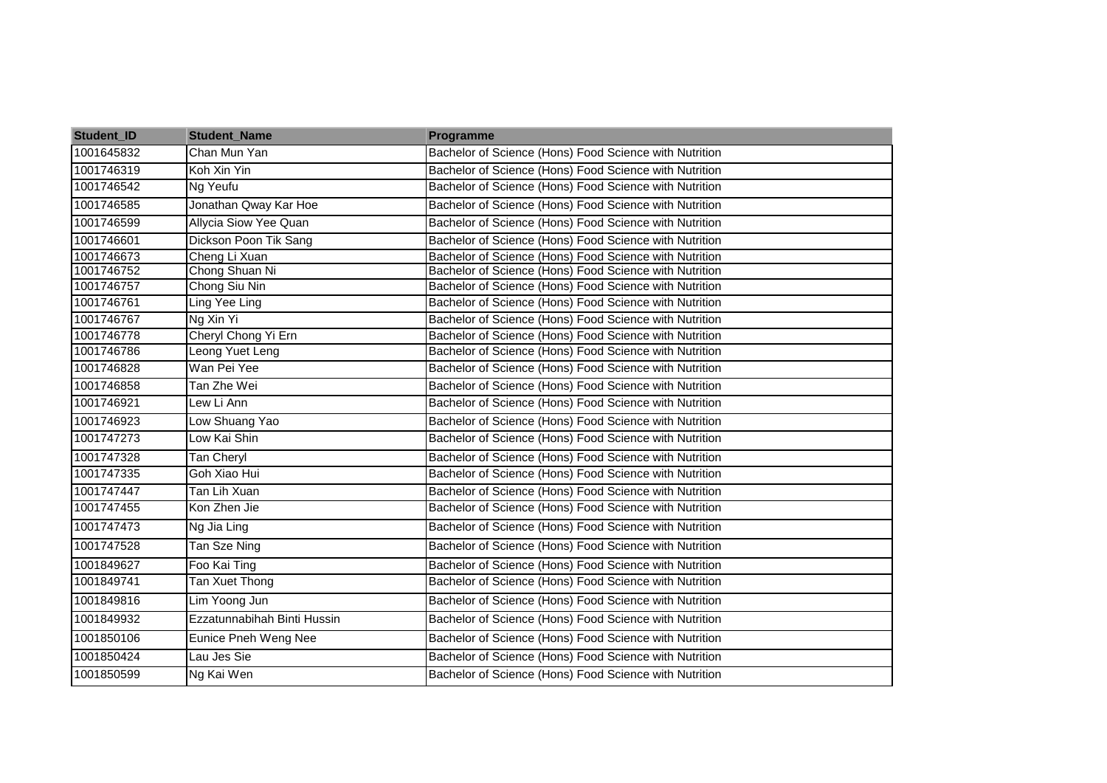| Student_ID | <b>Student_Name</b>         | Programme                                              |
|------------|-----------------------------|--------------------------------------------------------|
| 1001645832 | Chan Mun Yan                | Bachelor of Science (Hons) Food Science with Nutrition |
| 1001746319 | Koh Xin Yin                 | Bachelor of Science (Hons) Food Science with Nutrition |
| 1001746542 | Ng Yeufu                    | Bachelor of Science (Hons) Food Science with Nutrition |
| 1001746585 | Jonathan Qway Kar Hoe       | Bachelor of Science (Hons) Food Science with Nutrition |
| 1001746599 | Allycia Siow Yee Quan       | Bachelor of Science (Hons) Food Science with Nutrition |
| 1001746601 | Dickson Poon Tik Sang       | Bachelor of Science (Hons) Food Science with Nutrition |
| 1001746673 | Cheng Li Xuan               | Bachelor of Science (Hons) Food Science with Nutrition |
| 1001746752 | Chong Shuan Ni              | Bachelor of Science (Hons) Food Science with Nutrition |
| 1001746757 | Chong Siu Nin               | Bachelor of Science (Hons) Food Science with Nutrition |
| 1001746761 | Ling Yee Ling               | Bachelor of Science (Hons) Food Science with Nutrition |
| 1001746767 | Ng Xin Yi                   | Bachelor of Science (Hons) Food Science with Nutrition |
| 1001746778 | Cheryl Chong Yi Ern         | Bachelor of Science (Hons) Food Science with Nutrition |
| 1001746786 | Leong Yuet Leng             | Bachelor of Science (Hons) Food Science with Nutrition |
| 1001746828 | Wan Pei Yee                 | Bachelor of Science (Hons) Food Science with Nutrition |
| 1001746858 | Tan Zhe Wei                 | Bachelor of Science (Hons) Food Science with Nutrition |
| 1001746921 | Lew Li Ann                  | Bachelor of Science (Hons) Food Science with Nutrition |
| 1001746923 | Low Shuang Yao              | Bachelor of Science (Hons) Food Science with Nutrition |
| 1001747273 | Low Kai Shin                | Bachelor of Science (Hons) Food Science with Nutrition |
| 1001747328 | Tan Cheryl                  | Bachelor of Science (Hons) Food Science with Nutrition |
| 1001747335 | Goh Xiao Hui                | Bachelor of Science (Hons) Food Science with Nutrition |
| 1001747447 | Tan Lih Xuan                | Bachelor of Science (Hons) Food Science with Nutrition |
| 1001747455 | Kon Zhen Jie                | Bachelor of Science (Hons) Food Science with Nutrition |
| 1001747473 | Ng Jia Ling                 | Bachelor of Science (Hons) Food Science with Nutrition |
| 1001747528 | Tan Sze Ning                | Bachelor of Science (Hons) Food Science with Nutrition |
| 1001849627 | Foo Kai Ting                | Bachelor of Science (Hons) Food Science with Nutrition |
| 1001849741 | Tan Xuet Thong              | Bachelor of Science (Hons) Food Science with Nutrition |
| 1001849816 | Lim Yoong Jun               | Bachelor of Science (Hons) Food Science with Nutrition |
| 1001849932 | Ezzatunnabihah Binti Hussin | Bachelor of Science (Hons) Food Science with Nutrition |
| 1001850106 | Eunice Pneh Weng Nee        | Bachelor of Science (Hons) Food Science with Nutrition |
| 1001850424 | Lau Jes Sie                 | Bachelor of Science (Hons) Food Science with Nutrition |
| 1001850599 | Ng Kai Wen                  | Bachelor of Science (Hons) Food Science with Nutrition |